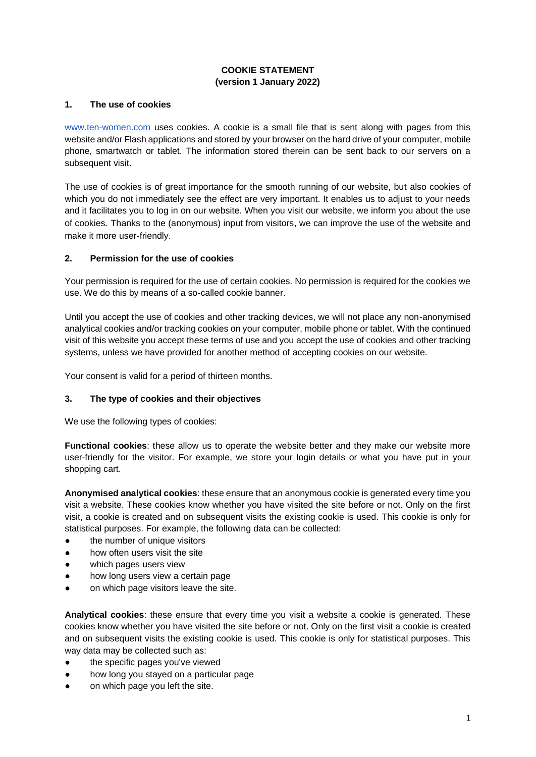# **COOKIE STATEMENT (version 1 January 2022)**

### **1. The use of cookies**

[www.ten-women.com](http://www.ten-women.com/) uses cookies. A cookie is a small file that is sent along with pages from this website and/or Flash applications and stored by your browser on the hard drive of your computer, mobile phone, smartwatch or tablet. The information stored therein can be sent back to our servers on a subsequent visit.

The use of cookies is of great importance for the smooth running of our website, but also cookies of which you do not immediately see the effect are very important. It enables us to adjust to your needs and it facilitates you to log in on our website. When you visit our website, we inform you about the use of cookies*.* Thanks to the (anonymous) input from visitors, we can improve the use of the website and make it more user-friendly.

## **2. Permission for the use of cookies**

Your permission is required for the use of certain cookies. No permission is required for the cookies we use. We do this by means of a so-called cookie banner.

Until you accept the use of cookies and other tracking devices, we will not place any non-anonymised analytical cookies and/or tracking cookies on your computer, mobile phone or tablet. With the continued visit of this website you accept these terms of use and you accept the use of cookies and other tracking systems, unless we have provided for another method of accepting cookies on our website.

Your consent is valid for a period of thirteen months.

### **3. The type of cookies and their objectives**

We use the following types of cookies:

**Functional cookies**: these allow us to operate the website better and they make our website more user-friendly for the visitor. For example, we store your login details or what you have put in your shopping cart.

**Anonymised analytical cookies**: these ensure that an anonymous cookie is generated every time you visit a website. These cookies know whether you have visited the site before or not. Only on the first visit, a cookie is created and on subsequent visits the existing cookie is used. This cookie is only for statistical purposes. For example, the following data can be collected:

- the number of unique visitors
- how often users visit the site
- which pages users view
- how long users view a certain page
- on which page visitors leave the site.

**Analytical cookies**: these ensure that every time you visit a website a cookie is generated. These cookies know whether you have visited the site before or not. Only on the first visit a cookie is created and on subsequent visits the existing cookie is used. This cookie is only for statistical purposes. This way data may be collected such as:

- the specific pages you've viewed
- how long you stayed on a particular page
- on which page you left the site.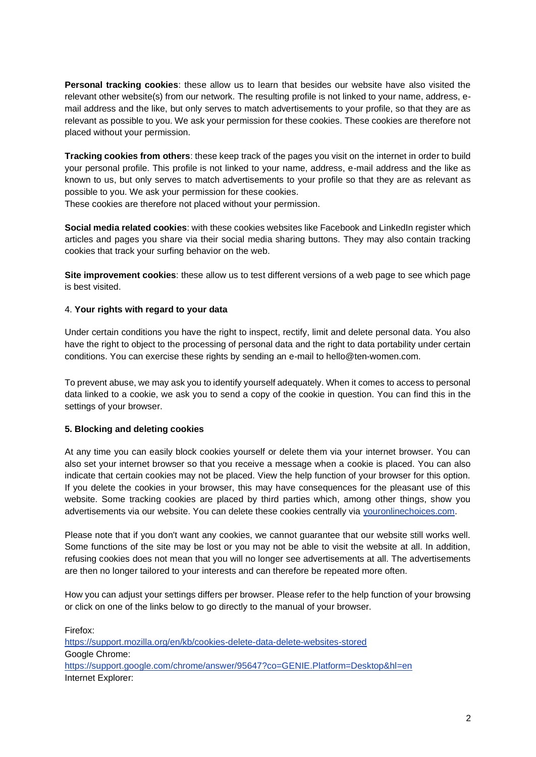**Personal tracking cookies**: these allow us to learn that besides our website have also visited the relevant other website(s) from our network. The resulting profile is not linked to your name, address, email address and the like, but only serves to match advertisements to your profile, so that they are as relevant as possible to you. We ask your permission for these cookies. These cookies are therefore not placed without your permission.

**Tracking cookies from others**: these keep track of the pages you visit on the internet in order to build your personal profile. This profile is not linked to your name, address, e-mail address and the like as known to us, but only serves to match advertisements to your profile so that they are as relevant as possible to you. We ask your permission for these cookies.

These cookies are therefore not placed without your permission.

**Social media related cookies:** with these cookies websites like Facebook and LinkedIn register which articles and pages you share via their social media sharing buttons. They may also contain tracking cookies that track your surfing behavior on the web.

**Site improvement cookies**: these allow us to test different versions of a web page to see which page is best visited.

# 4. **Your rights with regard to your data**

Under certain conditions you have the right to inspect, rectify, limit and delete personal data. You also have the right to object to the processing of personal data and the right to data portability under certain conditions. You can exercise these rights by sending an e-mail to hello@ten-women.com.

To prevent abuse, we may ask you to identify yourself adequately. When it comes to access to personal data linked to a cookie, we ask you to send a copy of the cookie in question. You can find this in the settings of your browser.

# **5. Blocking and deleting cookies**

At any time you can easily block cookies yourself or delete them via your internet browser. You can also set your internet browser so that you receive a message when a cookie is placed. You can also indicate that certain cookies may not be placed. View the help function of your browser for this option. If you delete the cookies in your browser, this may have consequences for the pleasant use of this website. Some tracking cookies are placed by third parties which, among other things, show you advertisements via our website. You can delete these cookies centrally via [youronlinechoices.com.](http://www.youronlinechoices.eu/)

Please note that if you don't want any cookies, we cannot guarantee that our website still works well. Some functions of the site may be lost or you may not be able to visit the website at all. In addition, refusing cookies does not mean that you will no longer see advertisements at all. The advertisements are then no longer tailored to your interests and can therefore be repeated more often.

How you can adjust your settings differs per browser. Please refer to the help function of your browsing or click on one of the links below to go directly to the manual of your browser.

Firefox[:](https://support.mozilla.org/nl/kb/cookies-verwijderen-gegevens-wissen-websites-opgeslagen) [https://support.mozilla.org/en/kb/cookies-delete-data-delete-websites-stored](https://support.mozilla.org/nl/kb/cookies-verwijderen-gegevens-wissen-websites-opgeslagen) Google Chrome[:](https://support.google.com/chrome/answer/95647?co=GENIE.Platform%253DDesktop&hl=nl) [https://support.google.com/chrome/answer/95647?co=GENIE.Platform=Desktop&hl=en](https://support.google.com/chrome/answer/95647?co=GENIE.Platform%253DDesktop&hl=nl) Internet Explorer[:](https://support.microsoft.com/nl-nl/kb/278835)